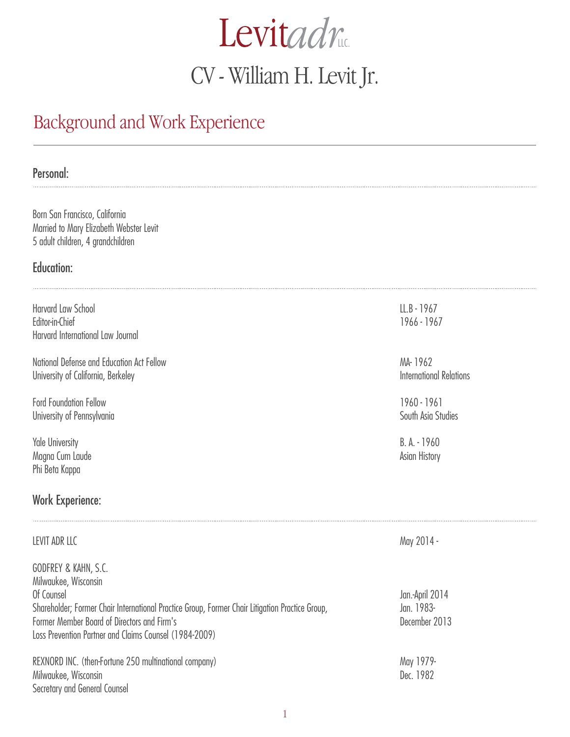# **Levitadr** CV - William H. Levit Jr.

# Background and Work Experience

#### Personal:

Born San Francisco, California Married to Mary Elizabeth Webster Levit 5 adult children, 4 grandchildren

#### Education:

Harvard Law School Editor-in-Chief Harvard International Law Journal

National Defense and Education Act Fellow University of California, Berkeley

Ford Foundation Fellow University of Pennsylvania

Yale University Magna Cum Laude Phi Beta Kappa

#### Work Experience:

Secretary and General Counsel

#### LEVIT ADR LLC

GODFREY & KAHN, S.C. Milwaukee, Wisconsin Of Counsel Shareholder; Former Chair International Practice Group, Former Chair Litigation Practice Group, Former Member Board of Directors and Firm's Loss Prevention Partner and Claims Counsel (1984-2009) REXNORD INC. (then-Fortune 250 multinational company) Milwaukee, Wisconsin Jan.-April 2014 Jan. 1983- December 2013 May 1979-

LL.B - 1967 1966 - 1967

MA- 1962 International Relations

1960 - 1961 South Asia Studies

B. A. - 1960 Asian History

May 2014 -

Dec. 1982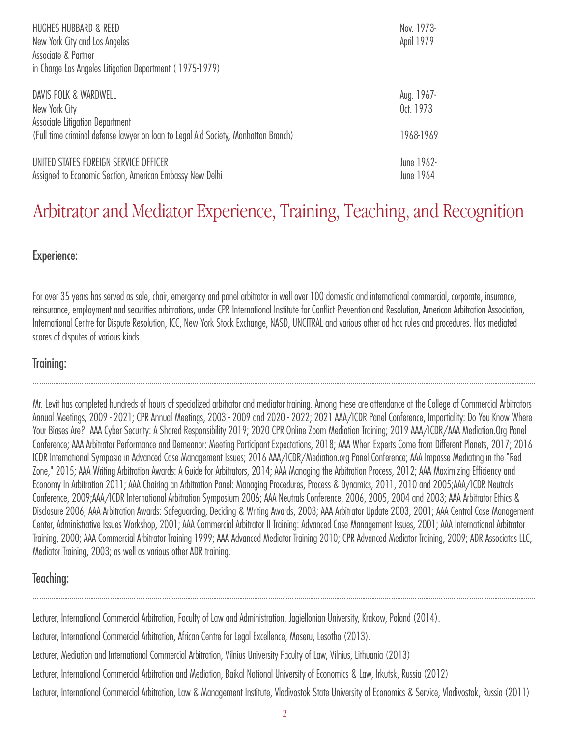| HUGHES HUBBARD & REED<br>New York City and Los Angeles<br>Associate & Partner<br>in Charge Los Angeles Litigation Department (1975-1979) | Nov. 1973-<br>April 1979 |
|------------------------------------------------------------------------------------------------------------------------------------------|--------------------------|
| DAVIS POLK & WARDWELL<br>New York City<br>Associate Litigation Department                                                                | Aug. 1967-<br>0ct. 1973  |
| (Full time criminal defense lawyer on loan to Legal Aid Society, Manhattan Branch)                                                       | 1968-1969                |
| UNITED STATES FOREIGN SERVICE OFFICER<br>Assigned to Economic Section, American Embassy New Delhi                                        | June 1962-<br>June 1964  |

## Arbitrator and Mediator Experience, Training, Teaching, and Recognition

Experience:

For over 35 years has served as sole, chair, emergency and panel arbitrator in well over 100 domestic and international commercial, corporate, insurance, reinsurance, employment and securities arbitrations, under CPR International Institute for Conflict Prevention and Resolution, American Arbitration Association, International Centre for Dispute Resolution, ICC, New York Stock Exchange, NASD, UNCITRAL and various other ad hoc rules and procedures. Has mediated scores of disputes of various kinds.

#### Training:

Mr. Levit has completed hundreds of hours of specialized arbitrator and mediator training. Among these are attendance at the College of Commercial Arbitrators Annual Meetings, 2009 - 2021; CPR Annual Meetings, 2003 - 2009 and 2020 - 2022; 2021 AAA/ICDR Panel Conference, Impartiality: Do You Know Where Your Biases Are? AAA Cyber Security: A Shared Responsibility 2019; 2020 CPR Online Zoom Mediation Training; 2019 AAA/ICDR/AAA Mediation.Org Panel Conference; AAA Arbitrator Performance and Demeanor: Meeting Participant Expectations, 2018; AAA When Experts Come from Different Planets, 2017; 2016 ICDR International Symposia in Advanced Case Management Issues; 2016 AAA/ICDR/Mediation.org Panel Conference; AAA Impasse Mediating in the "Red Zone," 2015; AAA Writing Arbitration Awards: A Guide for Arbitrators, 2014; AAA Managing the Arbitration Process, 2012; AAA Maximizing Efficiency and Economy In Arbitration 2011; AAA Chairing an Arbitration Panel: Managing Procedures, Process & Dynamics, 2011, 2010 and 2005;AAA/ICDR Neutrals Conference, 2009;AAA/ICDR International Arbitration Symposium 2006; AAA Neutrals Conference, 2006, 2005, 2004 and 2003; AAA Arbitrator Ethics & Disclosure 2006; AAA Arbitration Awards: Safeguarding, Deciding & Writing Awards, 2003; AAA Arbitrator Update 2003, 2001; AAA Central Case Management Center, Administrative Issues Workshop, 2001; AAA Commercial Arbitrator II Training: Advanced Case Management Issues, 2001; AAA International Arbitrator Training, 2000; AAA Commercial Arbitrator Training 1999; AAA Advanced Mediator Training 2010; CPR Advanced Mediator Training, 2009; ADR Associates LLC, Mediator Training, 2003; as well as various other ADR training.

#### Teaching:

Lecturer, International Commercial Arbitration, Faculty of Law and Administration, Jagiellonian University, Krakow, Poland (2014). Lecturer, International Commercial Arbitration, African Centre for Legal Excellence, Maseru, Lesotho (2013). Lecturer, Mediation and International Commercial Arbitration, Vilnius University Faculty of Law, Vilnius, Lithuania (2013) Lecturer, International Commercial Arbitration and Mediation, Baikal National University of Economics & Law, Irkutsk, Russia (2012) Lecturer, International Commercial Arbitration, Law & Management Institute, Vladivostok State University of Economics & Service, Vladivostok, Russia (2011)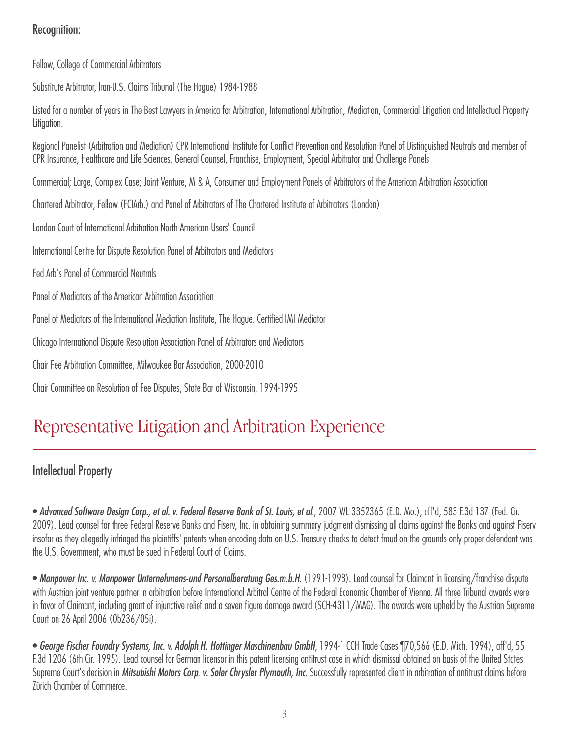## Recognition:

Fellow, College of Commercial Arbitrators

Substitute Arbitrator, lran-U.S. Claims Tribunal (The Hague) 1984-1988

Listed for a number of years in The Best Lawyers in America for Arbitration, International Arbitration, Mediation, Commercial Litigation and Intellectual Property Litigation.

Regional Panelist (Arbitration and Mediation) CPR International Institute for Conflict Prevention and Resolution Panel of Distinguished Neutrals and member of CPR Insurance, Healthcare and Life Sciences, General Counsel, Franchise, Employment, Special Arbitrator and Challenge Panels

Commercial; Large, Complex Case; Joint Venture, M & A, Consumer and Employment Panels of Arbitrators of the American Arbitration Association

Chartered Arbitrator, Fellow (FCIArb.) and Panel of Arbitrators of The Chartered Institute of Arbitrators (London)

London Court of International Arbitration North American Users' Council

International Centre for Dispute Resolution Panel of Arbitrators and Mediators

Fed Arb's Panel of Commercial Neutrals

Panel of Mediators of the American Arbitration Association

Panel of Mediators of the International Mediation Institute, The Hague. Certified IMI Mediator

Chicago International Dispute Resolution Association Panel of Arbitrators and Mediators

Chair Fee Arbitration Committee, Milwaukee Bar Association, 2000-201O

Chair Committee on Resolution of Fee Disputes, State Bar of Wisconsin, 1994-1995

## Representative Litigation and Arbitration Experience

#### Intellectual Property

• *Advanced Software Design Corp., et al. v. Federal Reserve Bank of St. Louis, et al.*, 2007 WL 3352365 (E.D. Mo.), aff'd, 583 F.3d 137 (Fed. Cir. 2009). Lead counsel for three Federal Reserve Banks and Fiserv, Inc. in obtaining summary judgment dismissing all claims against the Banks and against Fiserv insofar as they allegedly infringed the plaintiffs' patents when encoding data on U.S. Treasury checks to detect fraud on the grounds only proper defendant was the U.S. Government, who must be sued in Federal Court of Claims.

• *Manpower Inc. v. Manpower Unternehmens-und Personalberatung Ges.m.b.H.* (1991-1998). Lead counsel for Claimant in licensing/franchise dispute with Austrian joint venture partner in arbitration before International Arbitral Centre of the Federal Economic Chamber of Vienna. All three Tribunal awards were in favor of Claimant, including grant of injunctive relief and a seven figure damage award (SCH-4311/MAG). The awards were upheld by the Austrian Supreme Court on 26 April 2006 (Ob236/05i).

• *George Fischer Foundry Systems, Inc. v. Adolph H. Hottinger Maschinenbau GmbH*, 1994-1 CCH Trade Cases ¶70,566 (E.D. Mich. 1994), aff'd, 55 F.3d 1206 (6th Cir. 1995). Lead counsel for German licensor in this patent licensing antitrust case in which dismissal obtained on basis of the United States Supreme Court's decision in *Mitsubishi Motors Corp. v. Soler Chrysler Plymouth, Inc.* Successfully represented client in arbitration of antitrust claims before Zürich Chamber of Commerce.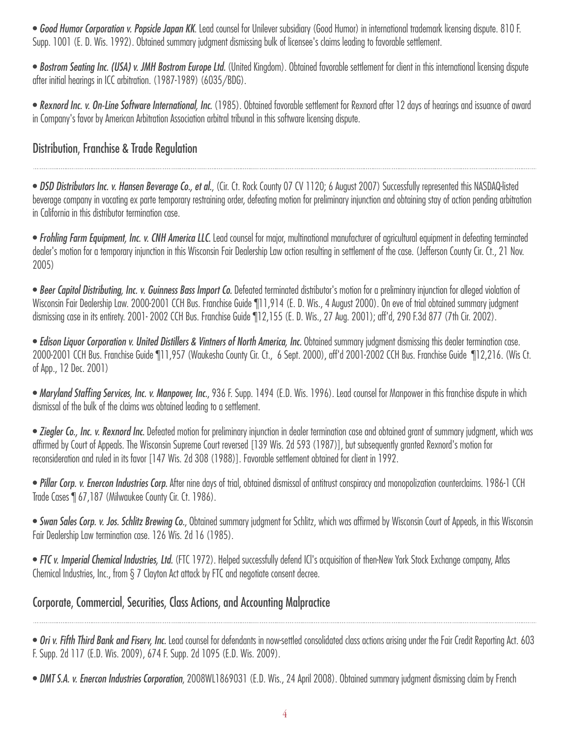• *Good Humor Corporation v. Popsicle Japan KK*. Lead counsel for Unilever subsidiary (Good Humor) in international trademark licensing dispute. 810 F. Supp. 1001 (E. D. Wis. 1992). Obtained summary judgment dismissing bulk of licensee's claims leading to favorable settlement.

• *Bostrom Seating Inc. (USA) v. JMH Bostrom Europe Ltd.* (United Kingdom). Obtained favorable settlement for client in this international licensing dispute after initial hearings in ICC arbitration. (1987-1989) (6035/BDG).

• *Rexnord Inc. v. On-Line Software International, Inc.* (1985). Obtained favorable settlement for Rexnord after 12 days of hearings and issuance of award in Company's favor by American Arbitration Association arbitral tribunal in this software licensing dispute.

## Distribution, Franchise & Trade Regulation

• *DSD Distributors Inc. v. Hansen Beverage Co., et al.*, (Cir. Ct. Rock County 07 CV 1120; 6 August 2007) Successfully represented this NASDAQ-listed beverage company in vacating ex parte temporary restraining order, defeating motion for preliminary injunction and obtaining stay of action pending arbitration in California in this distributor termination case.

• *Frohling Farm Equipment, Inc. v. CNH America LLC.* Lead counsel for major, multinational manufacturer of agricultural equipment in defeating terminated dealer's motion for a temporary injunction in this Wisconsin Fair Dealership Law action resulting in settlement of the case. (Jefferson County Cir. Ct., 21 Nov. 2005)

• *Beer Capitol Distributing, Inc. v. Guinness Bass Import Co.* Defeated terminated distributor's motion for a preliminary injunction for alleged violation of Wisconsin Fair Dealership Law. 2000-2001 CCH Bus. Franchise Guide 11,914 (E.D. Wis., 4 August 2000). On eve of trial obtained summary judgment dismissing case in its entirety. 2001- 2002 CCH Bus. Franchise Guide ¶12,155 (E. D. Wis., 27 Aug. 2001); aff'd, 290 F.3d 877 (7th Cir. 2002).

• *Edison Liquor Corporation v. United Distillers & Vintners of North America, Inc.* Obtained summary judgment dismissing this dealer termination case. 2000-2001 CCH Bus. Franchise Guide ¶11,957 (Waukesha County Cir. Ct., 6 Sept. 2000), aff'd 2001-2002 CCH Bus. Franchise Guide ¶12,216. (Wis Ct. of App., 12 Dec. 2001)

• *Maryland Staffing Services, Inc. v. Manpower, Inc.*, 936 F. Supp. 1494 (E.D. Wis. 1996). Lead counsel for Manpower in this franchise dispute in which dismissal of the bulk of the claims was obtained leading to a settlement.

• *Ziegler Co., Inc. v. Rexnord Inc.* Defeated motion for preliminary injunction in dealer termination case and obtained grant of summary judgment, which was affirmed by Court of Appeals. The Wisconsin Supreme Court reversed [139 Wis. 2d 593 (1987)], but subsequently granted Rexnord's motion for reconsideration and ruled in its favor [147 Wis. 2d 308 (1988)]. Favorable settlement obtained for client in 1992.

• *Pillar Corp. v. Enercon Industries Corp.* After nine days of trial, obtained dismissal of antitrust conspiracy and monopolization counterclaims. 1986-1 CCH Trade Cases ¶ 67,187 (Milwaukee County Cir. Ct. 1986).

• *Swan Sales Corp. v. Jos. Schlitz Brewing Co.*, Obtained summary judgment for Schlitz, which was affirmed by Wisconsin Court of Appeals, in this Wisconsin Fair Dealership Law termination case. 126 Wis. 2d 16 (1985).

• *FTC v. Imperial Chemical Industries, Ltd.* (FTC 1972). Helped successfully defend ICl's acquisition of then-New York Stock Exchange company, Atlas Chemical Industries, Inc., from § 7 Clayton Act attack by FTC and negotiate consent decree.

## Corporate, Commercial, Securities, Class Actions, and Accounting Malpractice

• *Ori v. Fifth Third Bank and Fiserv, Inc.* Lead counsel for defendants in now-settled consolidated class actions arising under the Fair Credit Reporting Act. 603 F. Supp. 2d 117 (E.D. Wis. 2009), 674 F. Supp. 2d 1095 (E.D. Wis. 2009).

• *DMT S.A. v. Enercon Industries Corporation*, 2008WL1869031 (E.D. Wis., 24 April 2008). Obtained summary judgment dismissing claim by French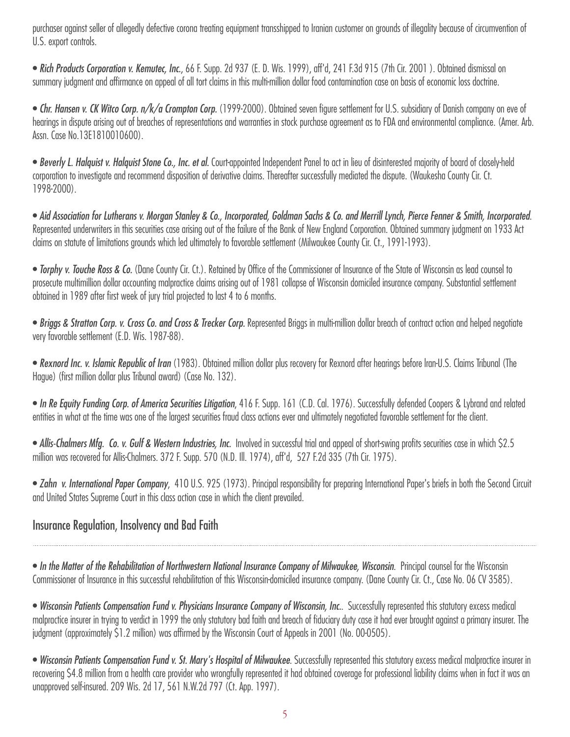purchaser against seller of allegedly defective corona treating equipment transshipped to Iranian customer on grounds of illegality because of circumvention of U.S. export controls.

• *Rich Products Corporation v. Kemutec, Inc.*, 66 F. Supp. 2d 937 (E. D. Wis. 1999), aff'd, 241 F.3d 915 (7th Cir. 2001 ). Obtained dismissal on summary judgment and affirmance on appeal of all tort claims in this multi-million dollar food contamination case on basis of economic loss doctrine.

• *Chr. Hansen v. CK Witco Corp. n/k/a Crompton Corp.* (1999-2000). Obtained seven figure settlement for U.S. subsidiary of Danish company on eve of hearings in dispute arising out of breaches of representations and warranties in stock purchase agreement as to FDA and environmental compliance. (Amer. Arb. Assn. Case No.13E1810010600).

• *Beverly L. Halquist v. Halquist Stone Co., Inc. et al.* Court-appointed Independent Panel to act in lieu of disinterested majority of board of closely-held corporation to investigate and recommend disposition of derivative claims. Thereafter successfully mediated the dispute. (Waukesha County Cir. Ct. 1998-2000).

• *Aid Association for Lutherans v. Morgan Stanley & Co., Incorporated, Goldman Sachs & Co. and Merrill Lynch, Pierce Fenner & Smith, Incorporated*. Represented underwriters in this securities case arising out of the failure of the Bank of New England Corporation. Obtained summary judgment on 1933 Act claims on statute of limitations grounds which led ultimately to favorable settlement (Milwaukee County Cir. Ct., 1991-1993).

• *Torphy v. Touche Ross & Co.* (Dane County Cir. Ct.). Retained by Office of the Commissioner of Insurance of the State of Wisconsin as lead counsel to prosecute multimillion dollar accounting malpractice claims arising out of 1981 collapse of Wisconsin domiciled insurance company. Substantial settlement obtained in 1989 after first week of jury trial projected to last 4 to 6 months.

• *Briggs & Stratton Corp. v. Cross Co. and Cross & Trecker Corp.* Represented Briggs in multi-million dollar breach of contract action and helped negotiate very favorable settlement (E.D. Wis. 1987-88).

• *Rexnord Inc. v. Islamic Republic of Iran* (1983). Obtained million dollar plus recovery for Rexnord after hearings before lran-U.S. Claims Tribunal (The Hague) (first million dollar plus Tribunal award) (Case No. 132).

• *In Re Equity Funding Corp. of America Securities Litigation*, 416 F. Supp. 161 (C.D. Cal. 1976). Successfully defended Coopers & Lybrand and related entities in what at the time was one of the largest securities fraud class actions ever and ultimately negotiated favorable settlement for the client.

• Allis-Chalmers Mfg. Co. v. Gulf & Western Industries, Inc. Involved in successful trial and appeal of short-swing profits securities case in which \$2.5 million was recovered for Allis-Chalmers. 372 F. Supp. 570 (N.D. Ill. 1974), aff'd, 527 F.2d 335 (7th Cir. 1975).

• *Zahn v. International Paper Company*, 41O U.S. 925 (1973). Principal responsibility for preparing International Paper's briefs in both the Second Circuit and United States Supreme Court in this class action case in which the client prevailed.

## Insurance Regulation, Insolvency and Bad Faith

• *In the Matter of the Rehabilitation of Northwestern National Insurance Company of Milwaukee, Wisconsin*. Principal counsel for the Wisconsin Commissioner of Insurance in this successful rehabilitation of this Wisconsin-domiciled insurance company. (Dane County Cir. Ct., Case No. 06 CV 3585).

• *Wisconsin Patients Compensation Fund v. Physicians Insurance Company of Wisconsin, Inc.*. Successfully represented this statutory excess medical malpractice insurer in trying to verdict in 1999 the only statutory bad faith and breach of fiduciary duty case it had ever brought against a primary insurer. The judgment (approximately \$1.2 million) was affirmed by the Wisconsin Court of Appeals in 2001 (No. 00-0505).

• *Wisconsin Patients Compensation Fund v. St. Mary's Hospital of Milwaukee*. Successfully represented this statutory excess medical malpractice insurer in recovering \$4.8 million from a health care provider who wrongfully represented it had obtained coverage for professional liability claims when in fact it was an unapproved self-insured. 209 Wis. 2d 17, 561 N.W.2d 797 (Ct. App. 1997).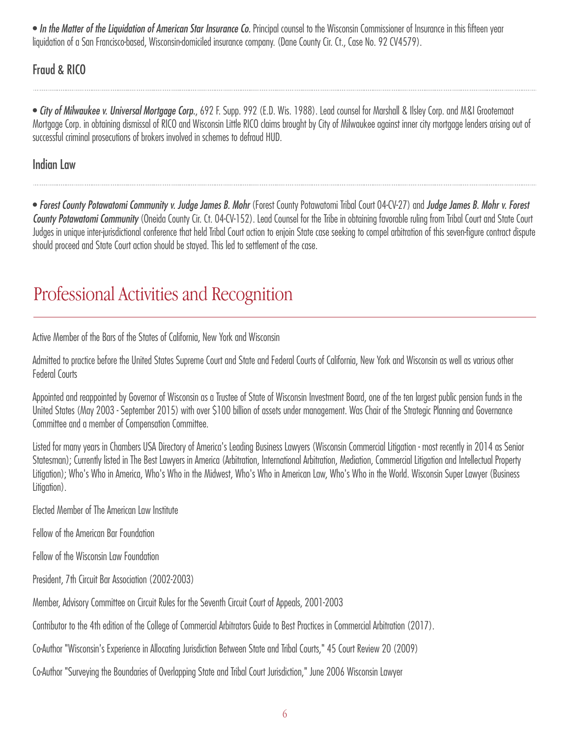• *In the Matter of the Liquidation of American Star Insurance Co.* Principal counsel to the Wisconsin Commissioner of Insurance in this fifteen year liquidation of a San Francisco-based, Wisconsin-domiciled insurance company. (Dane County Cir. Ct., Case No. 92 CV4579).

Fraud & RICO

• *City of Milwaukee v. Universal Mortgage Corp.*, 692 F. Supp. 992 (E.D. Wis. 1988). Lead counsel for Marshall & Ilsley Corp. and M&I Grootemaat Mortgage Corp. in obtaining dismissal of RICO and Wisconsin Little RICO claims brought by City of Milwaukee against inner city mortgage lenders arising out of successful criminal prosecutions of brokers involved in schemes to defraud HUD.

Indian Law

• *Forest County Potawatomi Community v. Judge James B. Mohr* (Forest County Potawatomi Tribal Court 04-CV-27) and *Judge James B. Mohr v. Forest County Potawatomi Community* (Oneida County Cir. Ct. 04-CV-152). Lead Counsel for the Tribe in obtaining favorable ruling from Tribal Court and State Court Judges in unique inter-jurisdictional conference that held Tribal Court action to enjoin State case seeking to compel arbitration of this seven-figure contract dispute should proceed and State Court action should be stayed. This led to settlement of the case.

# Professional Activities and Recognition

Active Member of the Bars of the States of California, New York and Wisconsin

Admitted to practice before the United States Supreme Court and State and Federal Courts of California, New York and Wisconsin as well as various other Federal Courts

Appointed and reappointed by Governor of Wisconsin as a Trustee of State of Wisconsin Investment Board, one of the ten largest public pension funds in the United States (May 2003 - September 2015) with over \$100 billion of assets under management. Was Chair of the Strategic Planning and Governance Committee and a member of Compensation Committee.

Listed for many years in Chambers USA Directory of America's Leading Business Lawyers (Wisconsin Commercial Litigation - most recently in 2014 as Senior Statesman); Currently listed in The Best Lawyers in America (Arbitration, International Arbitration, Mediation, Commercial Litigation and Intellectual Property Litigation); Who's Who in America, Who's Who in the Midwest, Who's Who in American Law, Who's Who in the World. Wisconsin Super Lawyer (Business Litigation).

Elected Member of The American Law Institute

Fellow of the American Bar Foundation

Fellow of the Wisconsin Law Foundation

President, 7th Circuit Bar Association (2002-2003)

Member, Advisory Committee on Circuit Rules for the Seventh Circuit Court of Appeals, 2001-2003

Contributor to the 4th edition of the College of Commercial Arbitrators Guide to Best Practices in Commercial Arbitration (2017).

Co-Author "Wisconsin's Experience in Allocating Jurisdiction Between State and Tribal Courts," 45 Court Review 20 (2009)

Co-Author "Surveying the Boundaries of Overlapping State and Tribal Court Jurisdiction," June 2006 Wisconsin Lawyer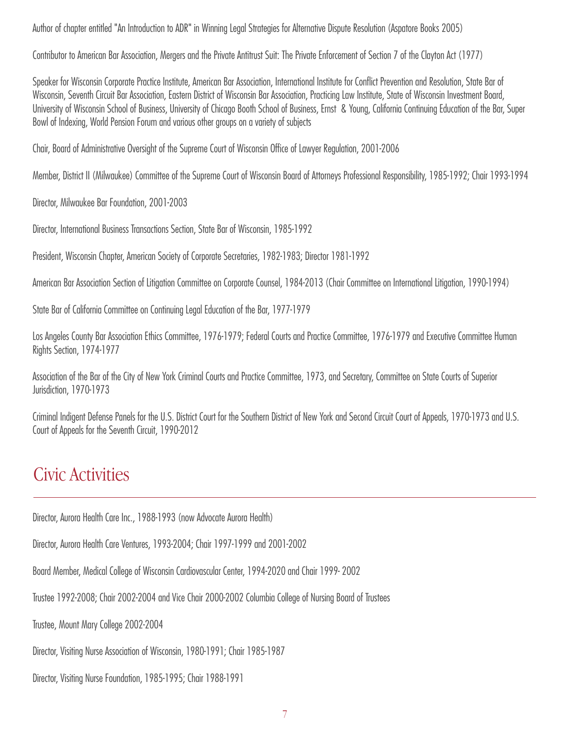Author of chapter entitled "An Introduction to ADR" in Winning Legal Strategies for Alternative Dispute Resolution (Aspatore Books 2005)

Contributor to American Bar Association, Mergers and the Private Antitrust Suit: The Private Enforcement of Section 7 of the Clayton Act (1977)

Speaker for Wisconsin Corporate Practice Institute, American Bar Association, International Institute for Conflict Prevention and Resolution, State Bar of Wisconsin, Seventh Circuit Bar Association, Eastern District of Wisconsin Bar Association, Practicing Law Institute, State of Wisconsin Investment Board, University of Wisconsin School of Business, University of Chicago Booth School of Business, Ernst & Young, California Continuing Education of the Bar, Super Bowl of Indexing, World Pension Forum and various other groups on a variety of subjects

Chair, Board of Administrative Oversight of the Supreme Court of Wisconsin Office of Lawyer Regulation, 2001-2006

Member, District II (Milwaukee) Committee of the Supreme Court of Wisconsin Board of Attorneys Professional Responsibility, 1985-1992; Chair 1993-1994

Director, Milwaukee Bar Foundation, 2001-2003

Director, International Business Transactions Section, State Bar of Wisconsin, 1985-1992

President, Wisconsin Chapter, American Society of Corporate Secretaries, 1982-1983; Director 1981-1992

American Bar Association Section of Litigation Committee on Corporate Counsel, 1984-2013 (Chair Committee on International Litigation, 1990-1994)

State Bar of California Committee on Continuing Legal Education of the Bar, 1977-1979

Los Angeles County Bar Association Ethics Committee, 1976-1979; Federal Courts and Practice Committee, 1976-1979 and Executive Committee Human Rights Section, 1974-1977

Association of the Bar of the City of New York Criminal Courts and Practice Committee, 1973, and Secretary, Committee on State Courts of Superior Jurisdiction, 1970-1973

Criminal Indigent Defense Panels for the U.S. District Court for the Southern District of New York and Second Circuit Court of Appeals, 1970-1973 and U.S. Court of Appeals for the Seventh Circuit, 1990-2012

# Civic Activities

Director, Aurora Health Care Inc., 1988-1993 (now Advocate Aurora Health)

Director, Aurora Health Care Ventures, 1993-2004; Chair 1997-1999 and 2001-2002

Board Member, Medical College of Wisconsin Cardiovascular Center, 1994-2020 and Chair 1999- 2002

Trustee 1992-2008; Chair 2002-2004 and Vice Chair 2000-2002 Columbia College of Nursing Board of Trustees

Trustee, Mount Mary College 2002-2004

Director, Visiting Nurse Association of Wisconsin, 1980-1991; Chair 1985-1987

Director, Visiting Nurse Foundation, 1985-1995; Chair 1988-1991